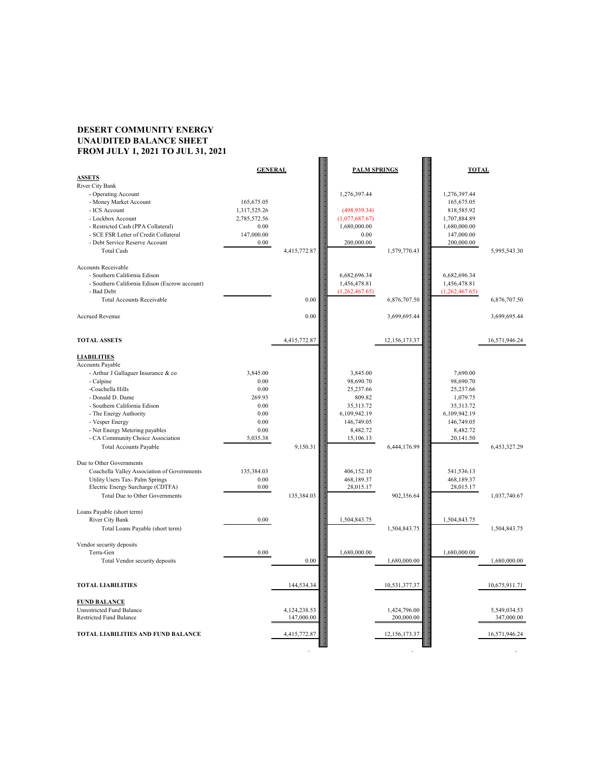## **DESERT COMMUNITY ENERGY UNAUDITED BALANCE SHEET FROM JULY 1, 2021 TO JUL 31, 2021**

| <b>ASSETS</b>                                 | <b>GENERAL</b> |              | <b>PALM SPRINGS</b> |               | <b>TOTAL</b>   |               |
|-----------------------------------------------|----------------|--------------|---------------------|---------------|----------------|---------------|
| <b>River City Bank</b>                        |                |              |                     |               |                |               |
| - Operating Account                           |                |              | 1,276,397.44        |               | 1,276,397.44   |               |
| - Money Market Account                        | 165,675.05     |              |                     |               | 165,675.05     |               |
| - ICS Account                                 | 1,317,525.26   |              | (498, 939.34)       |               | 818,585.92     |               |
| - Lockbox Account                             | 2,785,572.56   |              | (1,077,687.67)      |               | 1,707,884.89   |               |
| - Restricted Cash (PPA Collateral)            | 0.00           |              | 1,680,000.00        |               | 1,680,000.00   |               |
| - SCE FSR Letter of Credit Collateral         | 147,000.00     |              | 0.00                |               | 147,000.00     |               |
| - Debt Service Reserve Account                | 0.00           |              | 200,000.00          |               | 200,000.00     |               |
| <b>Total Cash</b>                             |                | 4,415,772.87 |                     | 1,579,770.43  |                | 5,995,543.30  |
|                                               |                |              |                     |               |                |               |
| <b>Accounts Receivable</b>                    |                |              |                     |               |                |               |
| - Southern California Edison                  |                |              | 6,682,696.34        |               | 6,682,696.34   |               |
| - Southern California Edison (Escrow account) |                |              | 1,456,478.81        |               | 1,456,478.81   |               |
| - Bad Debt                                    |                |              | (1,262,467.65)      |               | (1,262,467.65) |               |
| <b>Total Accounts Receivable</b>              |                | 0.00         |                     | 6,876,707.50  |                | 6,876,707.50  |
|                                               |                |              |                     |               |                |               |
| <b>Accrued Revenue</b>                        |                | 0.00         |                     | 3,699,695.44  |                | 3,699,695.44  |
|                                               |                |              |                     |               |                |               |
|                                               |                |              |                     |               |                |               |
| <b>TOTAL ASSETS</b>                           |                | 4,415,772.87 |                     | 12,156,173.37 |                | 16,571,946.24 |
|                                               |                |              |                     |               |                |               |
| <b>LIABILITIES</b>                            |                |              |                     |               |                |               |
| <b>Accounts Payable</b>                       |                |              |                     |               |                |               |
| - Arthur J Gallaguer Insurance & co           | 3,845.00       |              | 3,845.00            |               | 7,690.00       |               |
| - Calpine                                     | 0.00           |              | 98,690.70           |               | 98,690.70      |               |
| -Coachella Hills                              | 0.00           |              | 25,237.66           |               | 25,237.66      |               |
| - Donald D. Dame                              | 269.93         |              | 809.82              |               | 1,079.75       |               |
| - Southern California Edison                  | $0.00\,$       |              | 35, 313. 72         |               | 35, 313. 72    |               |
| - The Energy Authority                        | 0.00           |              | 6,109,942.19        |               | 6,109,942.19   |               |
| - Vesper Energy                               | 0.00           |              | 146,749.05          |               | 146,749.05     |               |
| - Net Energy Metering payables                | 0.00           |              | 8,482.72            |               | 8,482.72       |               |
| - CA Community Choice Association             | 5,035.38       |              | 15,106.13           |               | 20,141.50      |               |
| <b>Total Accounts Payable</b>                 |                | 9,150.31     |                     | 6,444,176.99  |                | 6,453,327.29  |
|                                               |                |              |                     |               |                |               |
| Due to Other Governments                      |                |              |                     |               |                |               |
| Coachella Valley Association of Governments   | 135,384.03     |              | 406,152.10          |               | 541,536.13     |               |
| Utility Users Tax- Palm Springs               | 0.00           |              | 468,189.37          |               | 468,189.37     |               |
| Electric Energy Surcharge (CDTFA)             | 0.00           |              | 28,015.17           |               | 28,015.17      |               |
| Total Due to Other Governments                |                | 135 384 03   |                     | 902356.64     |                | 1.037,740.67  |

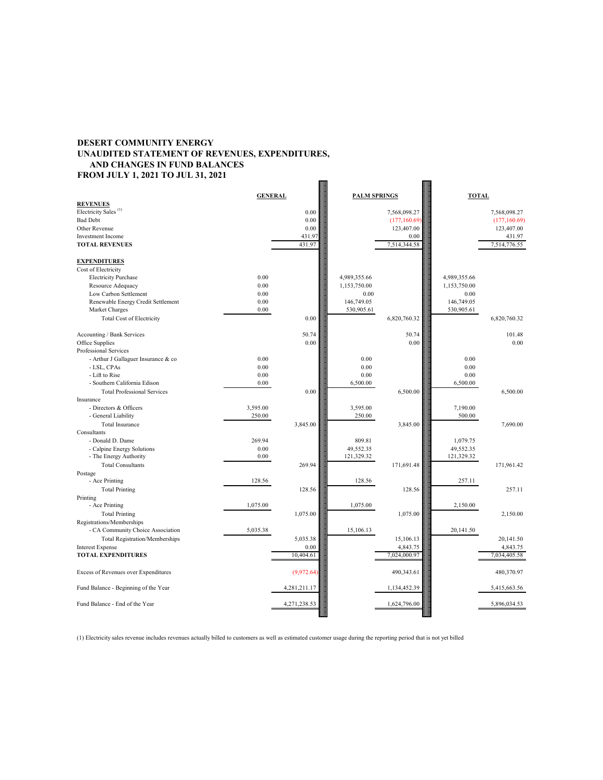## **DESERT COMMUNITY ENERGY UNAUDITED STATEMENT OF REVENUES, EXPENDITURES, AND CHANGES IN FUND BALANCES FROM JULY 1, 2021 TO JUL 31, 2021**



|                                                      | <b>GENERAL</b> |          | <b>PALM SPRINGS</b> |               | <b>TOTAL</b> |              |
|------------------------------------------------------|----------------|----------|---------------------|---------------|--------------|--------------|
| <b>REVENUES</b>                                      |                |          |                     |               |              |              |
| Electricity Sales <sup>(1)</sup>                     |                | 0.00     |                     | 7,568,098.27  |              | 7,568,098.27 |
| <b>Bad Debt</b>                                      |                | 0.00     |                     | (177, 160.69) |              | (177,160.69) |
| Other Revenue                                        |                | 0.00     |                     | 123,407.00    |              | 123,407.00   |
| <b>Investment Income</b>                             |                | 431.97   |                     | 0.00          |              | 431.97       |
| <b>TOTAL REVENUES</b>                                |                | 431.97   |                     | 7,514,344.58  |              | 7,514,776.55 |
| <b>EXPENDITURES</b>                                  |                |          |                     |               |              |              |
| Cost of Electricity                                  |                |          |                     |               |              |              |
| <b>Electricity Purchase</b>                          | 0.00           |          | 4,989,355.66        |               | 4,989,355.66 |              |
| Resource Adequacy                                    | 0.00           |          | 1,153,750.00        |               | 1,153,750.00 |              |
| Low Carbon Settlement                                | 0.00           |          | 0.00                |               | 0.00         |              |
| Renewable Energy Credit Settlement                   | 0.00           |          | 146,749.05          |               | 146,749.05   |              |
| Market Charges                                       | 0.00           |          | 530,905.61          |               | 530,905.61   |              |
| <b>Total Cost of Electricity</b>                     |                | 0.00     |                     | 6,820,760.32  |              | 6,820,760.32 |
|                                                      |                |          |                     |               |              |              |
| Accounting / Bank Services                           |                | 50.74    |                     | 50.74         |              | 101.48       |
| Office Supplies                                      |                | 0.00     |                     | 0.00          |              | 0.00         |
| Professional Services                                |                |          |                     |               |              |              |
| - Arthur J Gallaguer Insurance & co                  | 0.00           |          | 0.00                |               | 0.00         |              |
| - LSL, CPAs                                          | 0.00           |          | 0.00                |               | 0.00         |              |
| - Lift to Rise                                       | 0.00           |          | 0.00                |               | 0.00         |              |
| - Southern California Edison                         | 0.00           |          | 6,500.00            |               | 6,500.00     |              |
| <b>Total Professional Services</b>                   |                | 0.00     |                     | 6,500.00      |              | 6,500.00     |
| Insurance                                            |                |          |                     |               |              |              |
| - Directors & Officers                               | 3,595.00       |          | 3,595.00            |               | 7,190.00     |              |
| - General Liability                                  | 250.00         |          | 250.00              |               | 500.00       |              |
| <b>Total Insurance</b>                               |                | 3,845.00 |                     | 3,845.00      |              | 7,690.00     |
| Consultants                                          |                |          |                     |               |              |              |
| - Donald D. Dame                                     | 269.94         |          | 809.81              |               | 1,079.75     |              |
| - Calpine Energy Solutions                           | $0.00\,$       |          | 49,552.35           |               | 49,552.35    |              |
| - The Energy Authority                               | 0.00           |          | 121,329.32          |               | 121,329.32   |              |
| <b>Total Consultants</b>                             |                | 269.94   |                     | 171,691.48    |              | 171,961.42   |
| Postage                                              |                |          |                     |               |              |              |
| - Ace Printing                                       | 128.56         |          | 128.56              |               | 257.11       |              |
| <b>Total Printing</b><br>$\mathbf{D}$ . $\mathbf{D}$ |                | 128.56   |                     | 128.56        |              | 257.11       |

(1) Electricity sales revenue includes revenues actually billed to customers as well as estimated customer usage during the reporting period that is not yet billed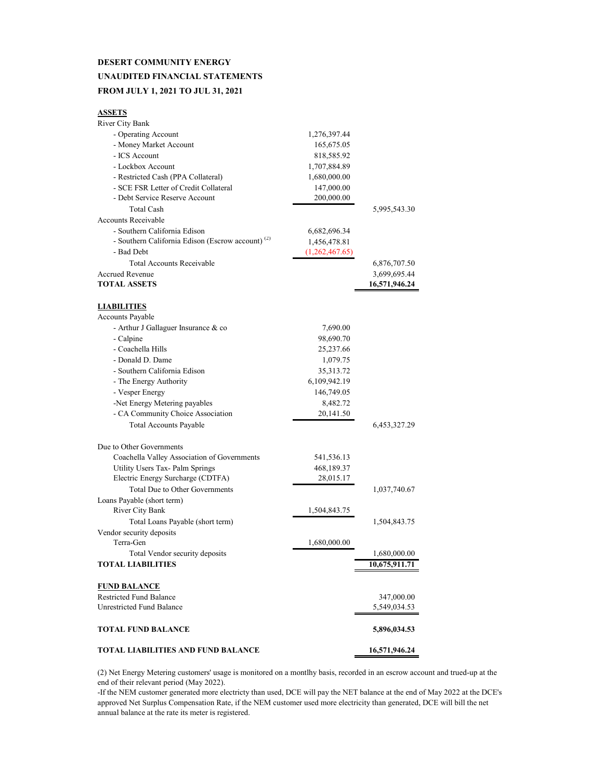## **DESERT COMMUNITY ENERGY UNAUDITED FINANCIAL STATEMENTS FROM JULY 1, 2021 TO JUL 31, 2021**

| ۰.<br>v<br>51. I |
|------------------|
|------------------|

| <b>River City Bank</b>                                       |                |               |
|--------------------------------------------------------------|----------------|---------------|
| - Operating Account                                          | 1,276,397.44   |               |
| - Money Market Account                                       | 165,675.05     |               |
| - ICS Account                                                | 818,585.92     |               |
| - Lockbox Account                                            | 1,707,884.89   |               |
| - Restricted Cash (PPA Collateral)                           | 1,680,000.00   |               |
| - SCE FSR Letter of Credit Collateral                        | 147,000.00     |               |
| - Debt Service Reserve Account                               | 200,000.00     |               |
| <b>Total Cash</b>                                            |                | 5,995,543.30  |
| <b>Accounts Receivable</b>                                   |                |               |
| - Southern California Edison                                 | 6,682,696.34   |               |
| - Southern California Edison (Escrow account) <sup>(2)</sup> | 1,456,478.81   |               |
| - Bad Debt                                                   | (1,262,467.65) |               |
| <b>Total Accounts Receivable</b>                             |                | 6,876,707.50  |
| <b>Accrued Revenue</b>                                       |                | 3,699,695.44  |
| <b>TOTAL ASSETS</b>                                          |                | 16,571,946.24 |
|                                                              |                |               |
| <b>LIABILITIES</b>                                           |                |               |
| <b>Accounts Payable</b>                                      |                |               |
| - Arthur J Gallaguer Insurance & co                          | 7,690.00       |               |
| - Calpine                                                    | 98,690.70      |               |
| - Coachella Hills                                            | 25,237.66      |               |
| - Donald D. Dame                                             | 1,079.75       |               |
| - Southern California Edison                                 | 35, 313. 72    |               |
| - The Energy Authority                                       | 6,109,942.19   |               |
| - Vesper Energy                                              | 146,749.05     |               |
| -Net Energy Metering payables                                | 8,482.72       |               |
| - CA Community Choice Association                            | 20,141.50      |               |
| <b>Total Accounts Payable</b>                                |                | 6,453,327.29  |
|                                                              |                |               |
| Due to Other Governments                                     |                |               |
| Coachella Valley Association of Governments                  | 541,536.13     |               |
| Utility Users Tax- Palm Springs                              | 468,189.37     |               |
| Electric Energy Surcharge (CDTFA)                            | 28,015.17      |               |
| <b>Total Due to Other Governments</b>                        |                | 1,037,740.67  |
| Loans Payable (short term)                                   |                |               |
| River City Bank                                              | 1,504,843.75   |               |
| Total Loans Payable (short term)                             |                | 1,504,843.75  |
| Vendor security deposits                                     |                |               |
| Terra-Gen                                                    | 1,680,000.00   |               |
| Total Vendor security deposits                               |                | 1,680,000.00  |
| <b>TOTAL LIABILITIES</b>                                     |                | 10,675,911.71 |
|                                                              |                |               |
| <b>FUND BALANCE</b>                                          |                |               |
| <b>Restricted Fund Balance</b>                               |                | 347,000.00    |
| <b>Unrestricted Fund Balance</b>                             |                | 5,549,034.53  |
|                                                              |                |               |
| <b>TOTAL FUND BALANCE</b>                                    |                | 5,896,034.53  |
|                                                              |                |               |
| <b>TOTAL LIABILITIES AND FUND BALANCE</b>                    |                | 16,571,946.24 |

(2) Net Energy Metering customers' usage is monitored on a montlhy basis, recorded in an escrow account and trued-up at the end of their relevant period (May 2022).

-If the NEM customer generated more electricty than used, DCE will pay the NET balance at the end of May 2022 at the DCE's approved Net Surplus Compensation Rate, if the NEM customer used more electricity than generated, DCE will bill the net annual balance at the rate its meter is registered.